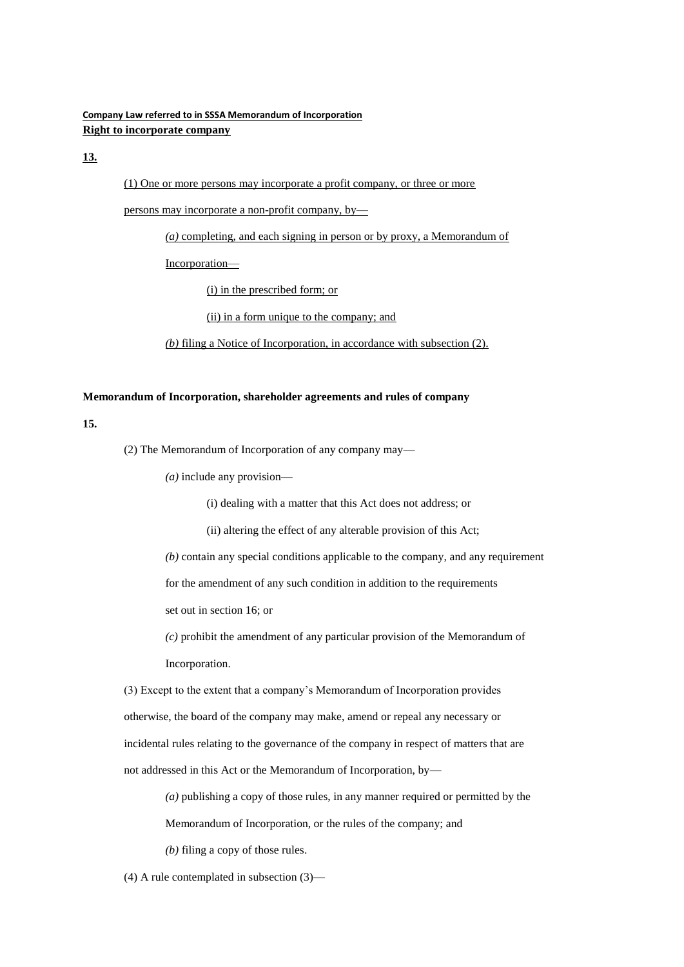# **Company Law referred to in SSSA Memorandum of Incorporation Right to incorporate company**

# **13.**

(1) One or more persons may incorporate a profit company, or three or more

persons may incorporate a non-profit company, by—

*(a)* completing, and each signing in person or by proxy, a Memorandum of

Incorporation—

(i) in the prescribed form; or

(ii) in a form unique to the company; and

*(b)* filing a Notice of Incorporation, in accordance with subsection (2).

## **Memorandum of Incorporation, shareholder agreements and rules of company**

## **15.**

(2) The Memorandum of Incorporation of any company may—

*(a)* include any provision—

(i) dealing with a matter that this Act does not address; or

(ii) altering the effect of any alterable provision of this Act;

*(b)* contain any special conditions applicable to the company, and any requirement

for the amendment of any such condition in addition to the requirements

set out in section 16; or

*(c)* prohibit the amendment of any particular provision of the Memorandum of Incorporation.

(3) Except to the extent that a company's Memorandum of Incorporation provides otherwise, the board of the company may make, amend or repeal any necessary or incidental rules relating to the governance of the company in respect of matters that are not addressed in this Act or the Memorandum of Incorporation, by—

*(a)* publishing a copy of those rules, in any manner required or permitted by the

Memorandum of Incorporation, or the rules of the company; and

*(b)* filing a copy of those rules.

(4) A rule contemplated in subsection (3)—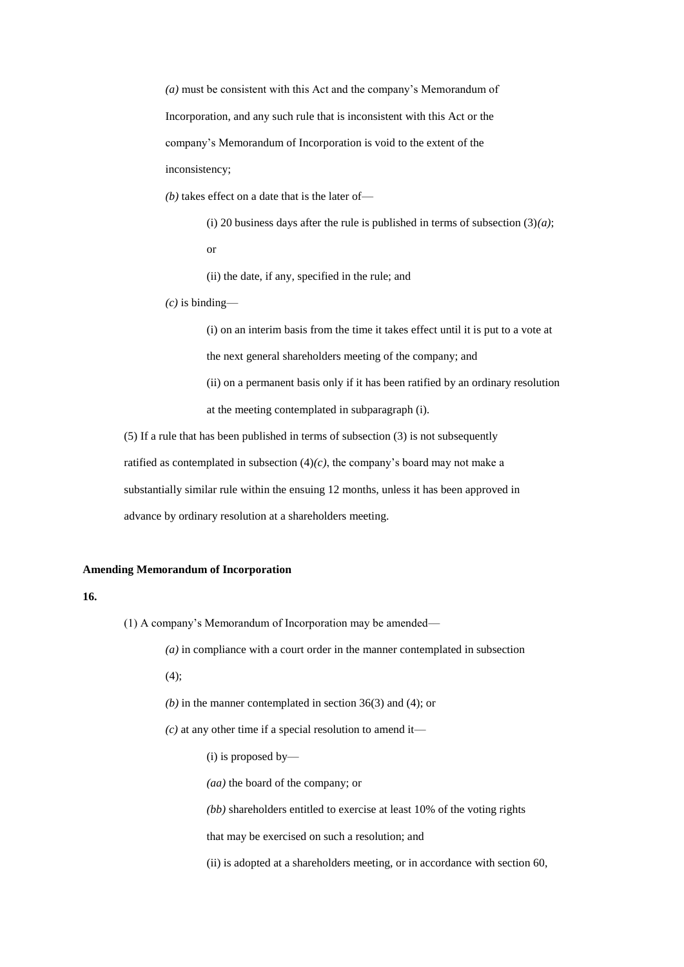*(a)* must be consistent with this Act and the company's Memorandum of Incorporation, and any such rule that is inconsistent with this Act or the company's Memorandum of Incorporation is void to the extent of the inconsistency;

*(b)* takes effect on a date that is the later of—

(i) 20 business days after the rule is published in terms of subsection  $(3)(a)$ ; or

(ii) the date, if any, specified in the rule; and

*(c)* is binding—

(i) on an interim basis from the time it takes effect until it is put to a vote at the next general shareholders meeting of the company; and (ii) on a permanent basis only if it has been ratified by an ordinary resolution at the meeting contemplated in subparagraph (i).

(5) If a rule that has been published in terms of subsection (3) is not subsequently ratified as contemplated in subsection  $(4)(c)$ , the company's board may not make a substantially similar rule within the ensuing 12 months, unless it has been approved in advance by ordinary resolution at a shareholders meeting.

### **Amending Memorandum of Incorporation**

## **16.**

(1) A company's Memorandum of Incorporation may be amended—

*(a)* in compliance with a court order in the manner contemplated in subsection

 $(4)$ ;

- *(b)* in the manner contemplated in section 36(3) and (4); or
- $(c)$  at any other time if a special resolution to amend it—
	- (i) is proposed by—
	- *(aa)* the board of the company; or
	- *(bb)* shareholders entitled to exercise at least 10% of the voting rights

that may be exercised on such a resolution; and

(ii) is adopted at a shareholders meeting, or in accordance with section 60,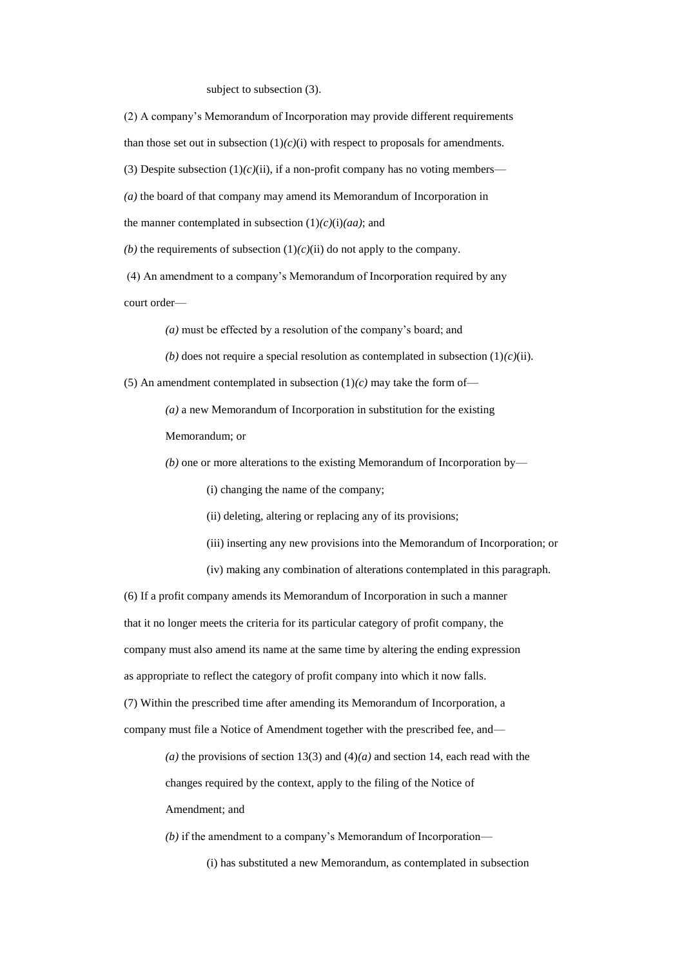#### subject to subsection (3).

(2) A company's Memorandum of Incorporation may provide different requirements than those set out in subsection  $(1)(c)(i)$  with respect to proposals for amendments. (3) Despite subsection  $(1)(c)(ii)$ , if a non-profit company has no voting members— *(a)* the board of that company may amend its Memorandum of Incorporation in the manner contemplated in subsection (1)*(c)*(i)*(aa)*; and *(b)* the requirements of subsection  $(1)/(c)(ii)$  do not apply to the company.

(4) An amendment to a company's Memorandum of Incorporation required by any court order—

*(a)* must be effected by a resolution of the company's board; and

*(b)* does not require a special resolution as contemplated in subsection  $(1)(c)(ii)$ .

(5) An amendment contemplated in subsection  $(1)/c$  may take the form of-

*(a)* a new Memorandum of Incorporation in substitution for the existing

Memorandum; or

*(b)* one or more alterations to the existing Memorandum of Incorporation by—

(i) changing the name of the company;

(ii) deleting, altering or replacing any of its provisions;

- (iii) inserting any new provisions into the Memorandum of Incorporation; or
- (iv) making any combination of alterations contemplated in this paragraph.

(6) If a profit company amends its Memorandum of Incorporation in such a manner that it no longer meets the criteria for its particular category of profit company, the company must also amend its name at the same time by altering the ending expression as appropriate to reflect the category of profit company into which it now falls. (7) Within the prescribed time after amending its Memorandum of Incorporation, a company must file a Notice of Amendment together with the prescribed fee, and—

> (*a*) the provisions of section 13(3) and (4)(*a*) and section 14, each read with the changes required by the context, apply to the filing of the Notice of Amendment; and

*(b)* if the amendment to a company's Memorandum of Incorporation—

(i) has substituted a new Memorandum, as contemplated in subsection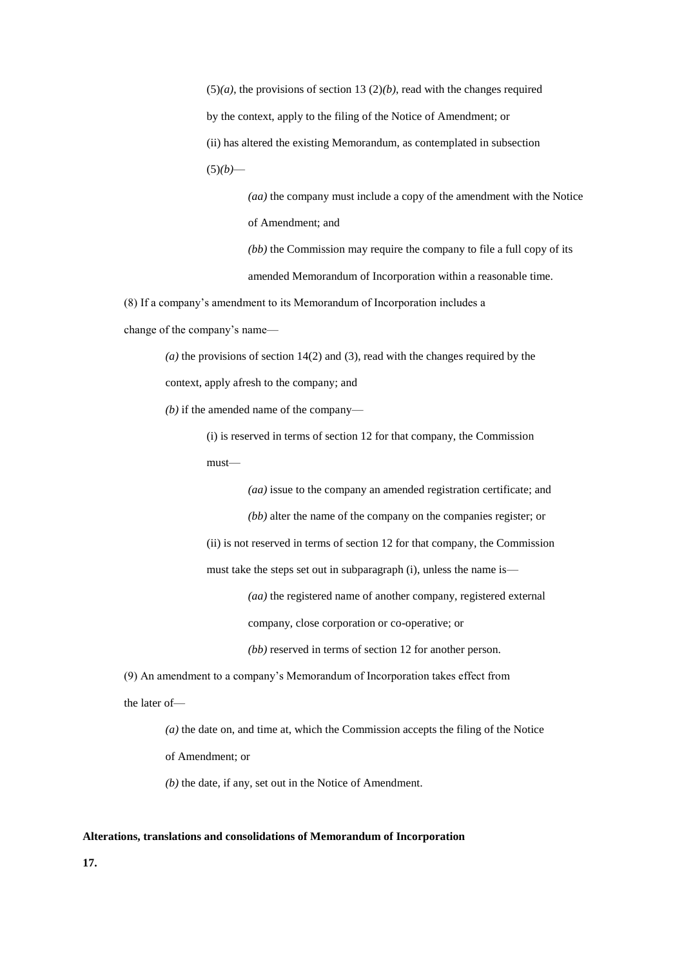$(5)(a)$ , the provisions of section 13  $(2)(b)$ , read with the changes required by the context, apply to the filing of the Notice of Amendment; or (ii) has altered the existing Memorandum, as contemplated in subsection  $(5)(b)$ —

> *(aa)* the company must include a copy of the amendment with the Notice of Amendment; and

*(bb)* the Commission may require the company to file a full copy of its amended Memorandum of Incorporation within a reasonable time.

(8) If a company's amendment to its Memorandum of Incorporation includes a

change of the company's name—

*(a)* the provisions of section 14(2) and (3), read with the changes required by the context, apply afresh to the company; and

*(b)* if the amended name of the company—

(i) is reserved in terms of section 12 for that company, the Commission must—

*(aa)* issue to the company an amended registration certificate; and

*(bb)* alter the name of the company on the companies register; or

(ii) is not reserved in terms of section 12 for that company, the Commission

must take the steps set out in subparagraph (i), unless the name is—

*(aa)* the registered name of another company, registered external

company, close corporation or co-operative; or

*(bb)* reserved in terms of section 12 for another person.

(9) An amendment to a company's Memorandum of Incorporation takes effect from the later of—

> *(a)* the date on, and time at, which the Commission accepts the filing of the Notice of Amendment; or

*(b)* the date, if any, set out in the Notice of Amendment.

### **Alterations, translations and consolidations of Memorandum of Incorporation**

**17.**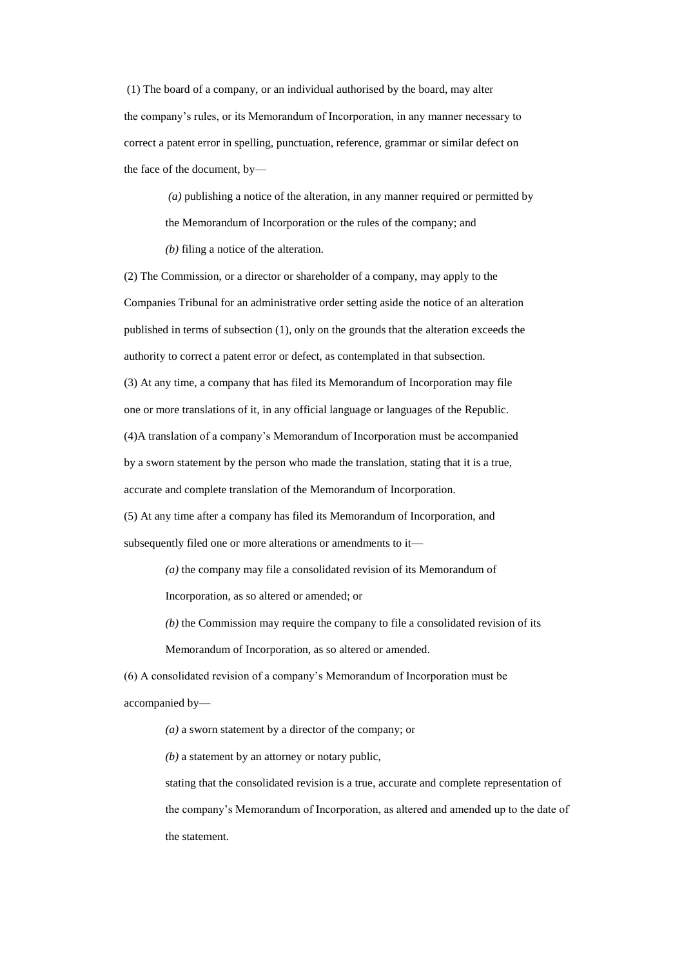(1) The board of a company, or an individual authorised by the board, may alter the company's rules, or its Memorandum of Incorporation, in any manner necessary to correct a patent error in spelling, punctuation, reference, grammar or similar defect on the face of the document, by—

*(a)* publishing a notice of the alteration, in any manner required or permitted by the Memorandum of Incorporation or the rules of the company; and

*(b)* filing a notice of the alteration.

(2) The Commission, or a director or shareholder of a company, may apply to the Companies Tribunal for an administrative order setting aside the notice of an alteration published in terms of subsection (1), only on the grounds that the alteration exceeds the authority to correct a patent error or defect, as contemplated in that subsection. (3) At any time, a company that has filed its Memorandum of Incorporation may file one or more translations of it, in any official language or languages of the Republic. (4)A translation of a company's Memorandum of Incorporation must be accompanied by a sworn statement by the person who made the translation, stating that it is a true, accurate and complete translation of the Memorandum of Incorporation. (5) At any time after a company has filed its Memorandum of Incorporation, and

subsequently filed one or more alterations or amendments to it—

*(a)* the company may file a consolidated revision of its Memorandum of

Incorporation, as so altered or amended; or

*(b)* the Commission may require the company to file a consolidated revision of its

Memorandum of Incorporation, as so altered or amended.

(6) A consolidated revision of a company's Memorandum of Incorporation must be accompanied by—

*(a)* a sworn statement by a director of the company; or

*(b)* a statement by an attorney or notary public,

stating that the consolidated revision is a true, accurate and complete representation of the company's Memorandum of Incorporation, as altered and amended up to the date of the statement.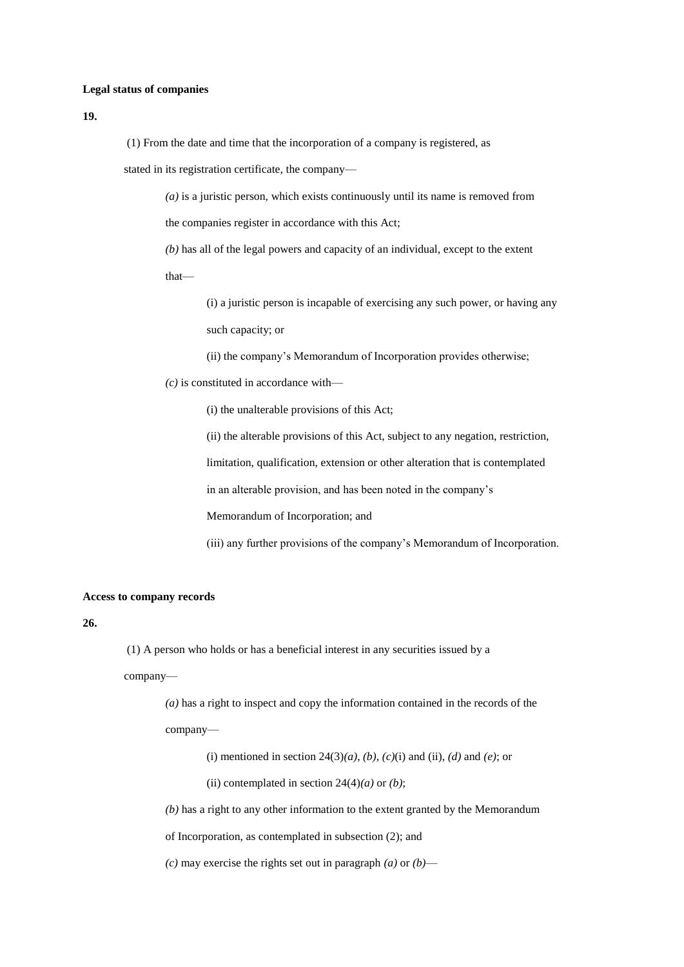### **Legal status of companies**

**19.**

(1) From the date and time that the incorporation of a company is registered, as

stated in its registration certificate, the company—

*(a)* is a juristic person, which exists continuously until its name is removed from

the companies register in accordance with this Act;

*(b)* has all of the legal powers and capacity of an individual, except to the extent that—

> (i) a juristic person is incapable of exercising any such power, or having any such capacity; or

(ii) the company's Memorandum of Incorporation provides otherwise;

*(c)* is constituted in accordance with—

(i) the unalterable provisions of this Act;

(ii) the alterable provisions of this Act, subject to any negation, restriction,

limitation, qualification, extension or other alteration that is contemplated

in an alterable provision, and has been noted in the company's

Memorandum of Incorporation; and

(iii) any further provisions of the company's Memorandum of Incorporation.

### **Access to company records**

**26.**

(1) A person who holds or has a beneficial interest in any securities issued by a

company—

*(a)* has a right to inspect and copy the information contained in the records of the company—

(i) mentioned in section 24(3)*(a)*, *(b)*, *(c)*(i) and (ii), *(d)* and *(e)*; or

(ii) contemplated in section  $24(4)(a)$  or *(b)*;

*(b)* has a right to any other information to the extent granted by the Memorandum

of Incorporation, as contemplated in subsection (2); and

*(c)* may exercise the rights set out in paragraph *(a)* or *(b)*—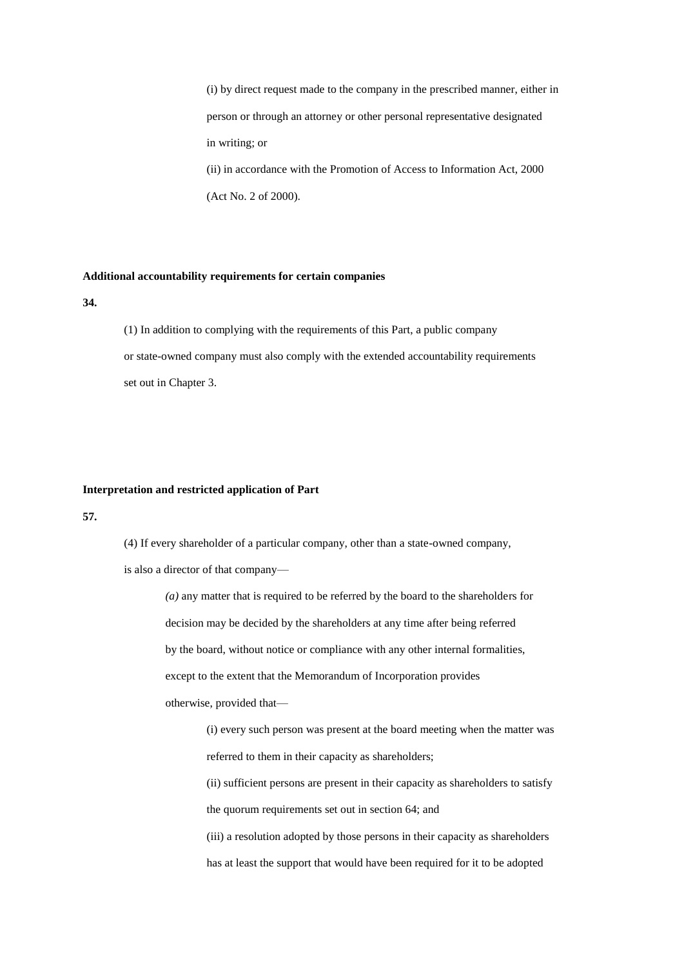(i) by direct request made to the company in the prescribed manner, either in person or through an attorney or other personal representative designated in writing; or (ii) in accordance with the Promotion of Access to Information Act, 2000 (Act No. 2 of 2000).

### **Additional accountability requirements for certain companies**

**34.** 

(1) In addition to complying with the requirements of this Part, a public company or state-owned company must also comply with the extended accountability requirements set out in Chapter 3.

#### **Interpretation and restricted application of Part**

**57.** 

(4) If every shareholder of a particular company, other than a state-owned company,

is also a director of that company—

*(a)* any matter that is required to be referred by the board to the shareholders for decision may be decided by the shareholders at any time after being referred by the board, without notice or compliance with any other internal formalities, except to the extent that the Memorandum of Incorporation provides otherwise, provided that—

> (i) every such person was present at the board meeting when the matter was referred to them in their capacity as shareholders;

> (ii) sufficient persons are present in their capacity as shareholders to satisfy the quorum requirements set out in section 64; and

> (iii) a resolution adopted by those persons in their capacity as shareholders has at least the support that would have been required for it to be adopted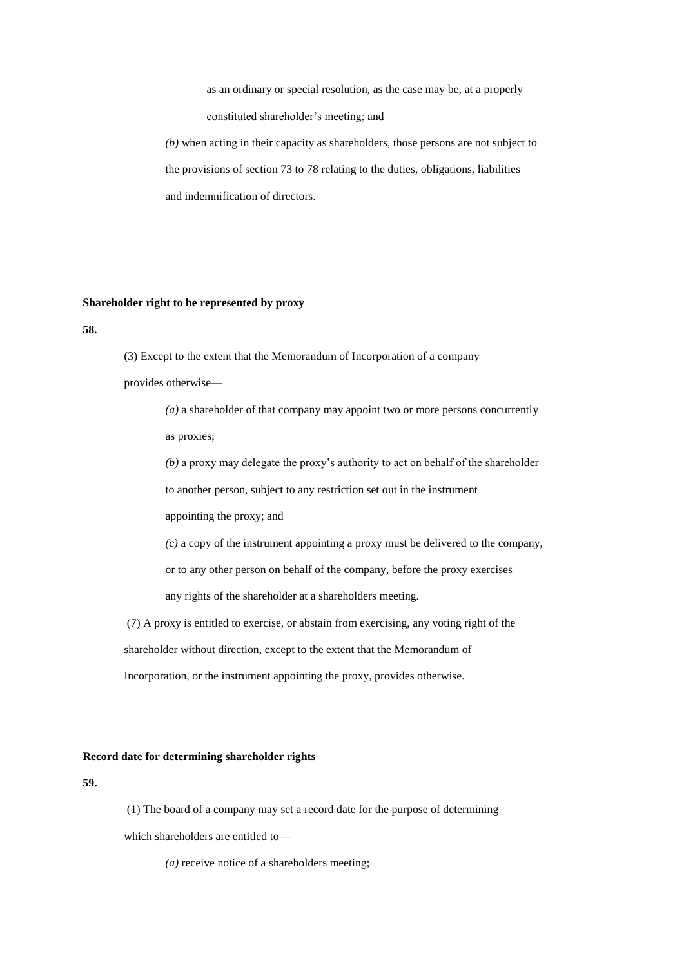as an ordinary or special resolution, as the case may be, at a properly constituted shareholder's meeting; and

*(b)* when acting in their capacity as shareholders, those persons are not subject to the provisions of section 73 to 78 relating to the duties, obligations, liabilities and indemnification of directors.

### **Shareholder right to be represented by proxy**

**58.** 

(3) Except to the extent that the Memorandum of Incorporation of a company

provides otherwise—

*(a)* a shareholder of that company may appoint two or more persons concurrently as proxies;

*(b)* a proxy may delegate the proxy's authority to act on behalf of the shareholder to another person, subject to any restriction set out in the instrument

appointing the proxy; and

*(c)* a copy of the instrument appointing a proxy must be delivered to the company,

or to any other person on behalf of the company, before the proxy exercises

any rights of the shareholder at a shareholders meeting.

(7) A proxy is entitled to exercise, or abstain from exercising, any voting right of the shareholder without direction, except to the extent that the Memorandum of

Incorporation, or the instrument appointing the proxy, provides otherwise.

#### **Record date for determining shareholder rights**

**59.**

(1) The board of a company may set a record date for the purpose of determining which shareholders are entitled to—

*(a)* receive notice of a shareholders meeting;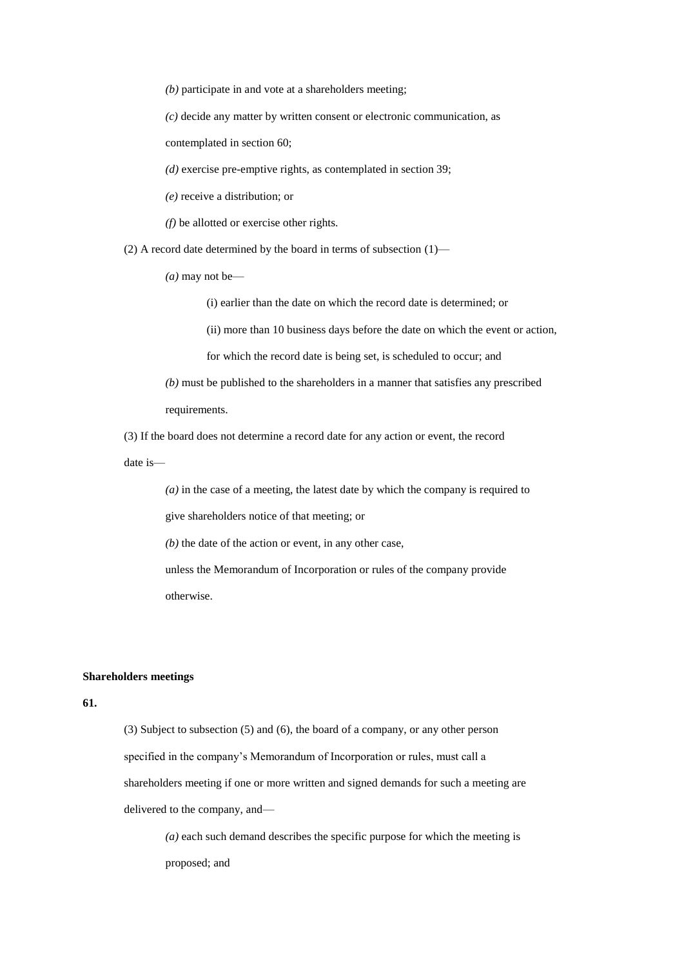*(b)* participate in and vote at a shareholders meeting;

*(c)* decide any matter by written consent or electronic communication, as

contemplated in section 60;

*(d)* exercise pre-emptive rights, as contemplated in section 39;

*(e)* receive a distribution; or

*(f)* be allotted or exercise other rights.

(2) A record date determined by the board in terms of subsection  $(1)$ —

 $(a)$  may not be—

(i) earlier than the date on which the record date is determined; or

(ii) more than 10 business days before the date on which the event or action,

for which the record date is being set, is scheduled to occur; and

*(b)* must be published to the shareholders in a manner that satisfies any prescribed

requirements.

(3) If the board does not determine a record date for any action or event, the record

date is—

*(a)* in the case of a meeting, the latest date by which the company is required to

give shareholders notice of that meeting; or

*(b)* the date of the action or event, in any other case,

unless the Memorandum of Incorporation or rules of the company provide otherwise.

### **Shareholders meetings**

## **61.**

(3) Subject to subsection (5) and (6), the board of a company, or any other person specified in the company's Memorandum of Incorporation or rules, must call a shareholders meeting if one or more written and signed demands for such a meeting are delivered to the company, and—

*(a)* each such demand describes the specific purpose for which the meeting is proposed; and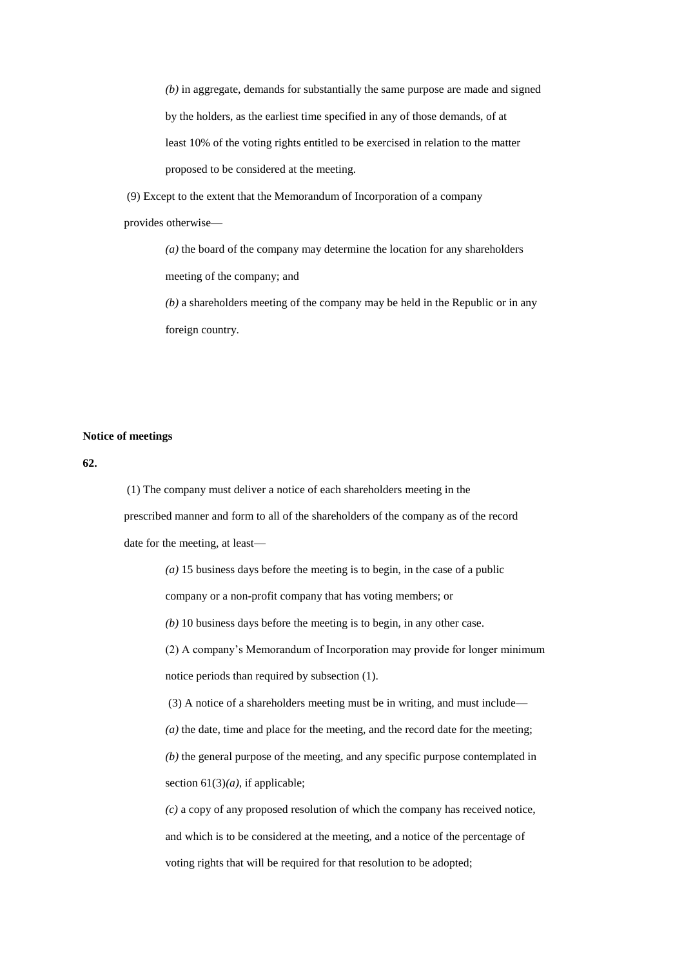*(b)* in aggregate, demands for substantially the same purpose are made and signed by the holders, as the earliest time specified in any of those demands, of at least 10% of the voting rights entitled to be exercised in relation to the matter proposed to be considered at the meeting.

(9) Except to the extent that the Memorandum of Incorporation of a company

provides otherwise—

*(a)* the board of the company may determine the location for any shareholders meeting of the company; and

*(b)* a shareholders meeting of the company may be held in the Republic or in any foreign country.

### **Notice of meetings**

**62.**

(1) The company must deliver a notice of each shareholders meeting in the prescribed manner and form to all of the shareholders of the company as of the record date for the meeting, at least—

*(a)* 15 business days before the meeting is to begin, in the case of a public

company or a non-profit company that has voting members; or

*(b)* 10 business days before the meeting is to begin, in any other case.

(2) A company's Memorandum of Incorporation may provide for longer minimum notice periods than required by subsection (1).

(3) A notice of a shareholders meeting must be in writing, and must include—

*(a)* the date, time and place for the meeting, and the record date for the meeting;

*(b)* the general purpose of the meeting, and any specific purpose contemplated in section 61(3)*(a)*, if applicable;

*(c)* a copy of any proposed resolution of which the company has received notice, and which is to be considered at the meeting, and a notice of the percentage of voting rights that will be required for that resolution to be adopted;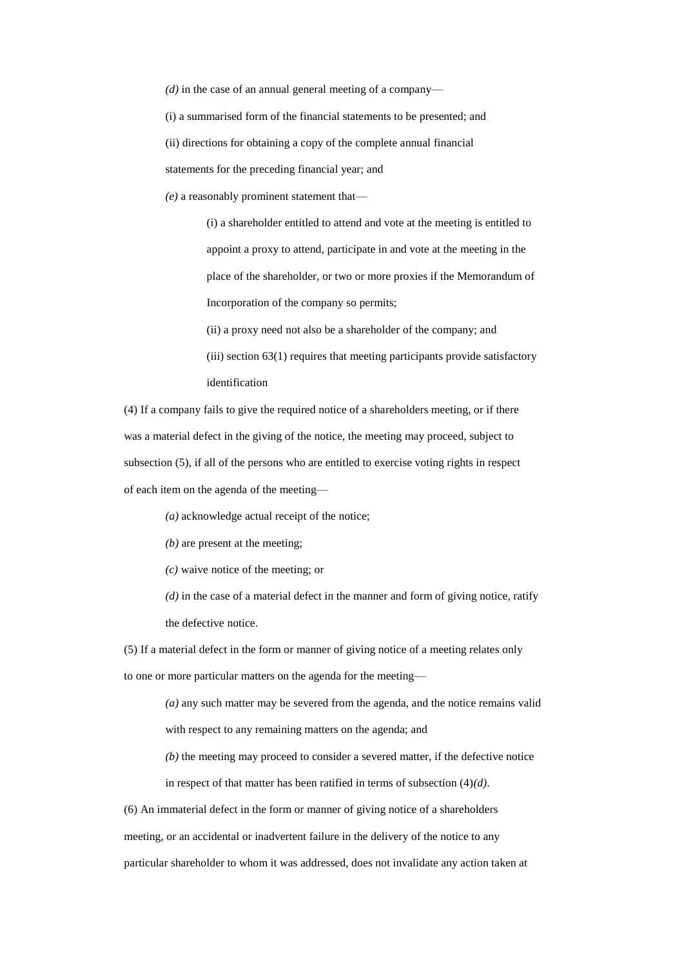*(d)* in the case of an annual general meeting of a company—

(i) a summarised form of the financial statements to be presented; and

(ii) directions for obtaining a copy of the complete annual financial

statements for the preceding financial year; and

*(e)* a reasonably prominent statement that—

(i) a shareholder entitled to attend and vote at the meeting is entitled to appoint a proxy to attend, participate in and vote at the meeting in the place of the shareholder, or two or more proxies if the Memorandum of Incorporation of the company so permits;

(ii) a proxy need not also be a shareholder of the company; and

(iii) section 63(1) requires that meeting participants provide satisfactory identification

(4) If a company fails to give the required notice of a shareholders meeting, or if there was a material defect in the giving of the notice, the meeting may proceed, subject to subsection (5), if all of the persons who are entitled to exercise voting rights in respect of each item on the agenda of the meeting—

*(a)* acknowledge actual receipt of the notice;

*(b)* are present at the meeting;

*(c)* waive notice of the meeting; or

*(d)* in the case of a material defect in the manner and form of giving notice, ratify the defective notice.

(5) If a material defect in the form or manner of giving notice of a meeting relates only to one or more particular matters on the agenda for the meeting—

*(a)* any such matter may be severed from the agenda, and the notice remains valid

with respect to any remaining matters on the agenda; and

*(b)* the meeting may proceed to consider a severed matter, if the defective notice

in respect of that matter has been ratified in terms of subsection (4)*(d)*.

(6) An immaterial defect in the form or manner of giving notice of a shareholders

meeting, or an accidental or inadvertent failure in the delivery of the notice to any

particular shareholder to whom it was addressed, does not invalidate any action taken at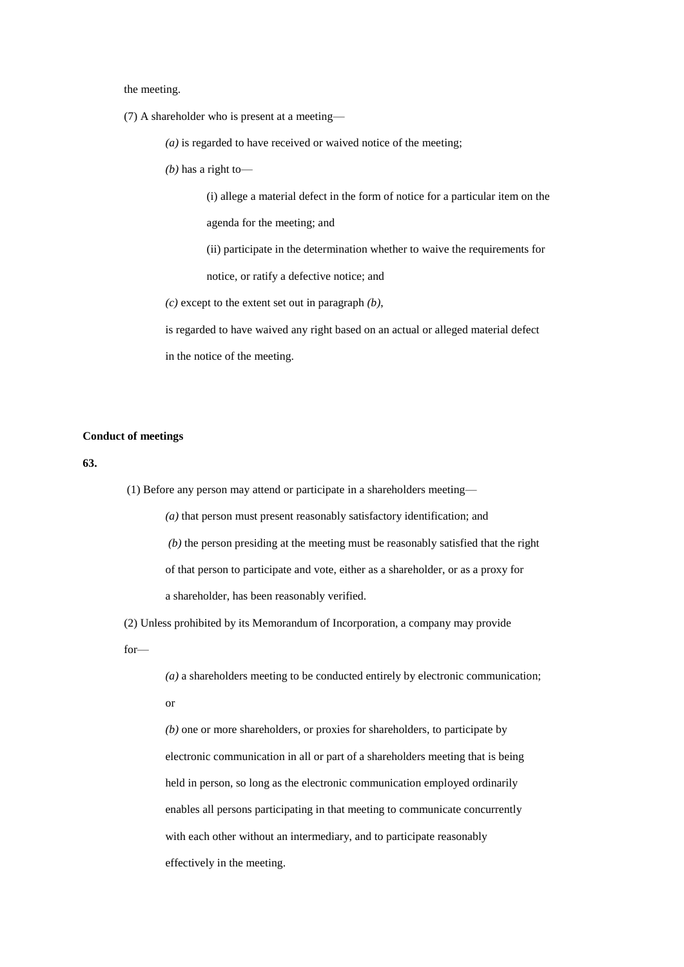the meeting.

(7) A shareholder who is present at a meeting—

*(a)* is regarded to have received or waived notice of the meeting;

*(b)* has a right to—

(i) allege a material defect in the form of notice for a particular item on the agenda for the meeting; and

(ii) participate in the determination whether to waive the requirements for notice, or ratify a defective notice; and

*(c)* except to the extent set out in paragraph *(b)*,

is regarded to have waived any right based on an actual or alleged material defect in the notice of the meeting.

## **Conduct of meetings**

**63.**

(1) Before any person may attend or participate in a shareholders meeting—

*(a)* that person must present reasonably satisfactory identification; and

*(b)* the person presiding at the meeting must be reasonably satisfied that the right

of that person to participate and vote, either as a shareholder, or as a proxy for

a shareholder, has been reasonably verified.

(2) Unless prohibited by its Memorandum of Incorporation, a company may provide

for—

*(a)* a shareholders meeting to be conducted entirely by electronic communication;

or

*(b)* one or more shareholders, or proxies for shareholders, to participate by electronic communication in all or part of a shareholders meeting that is being held in person, so long as the electronic communication employed ordinarily enables all persons participating in that meeting to communicate concurrently with each other without an intermediary, and to participate reasonably effectively in the meeting.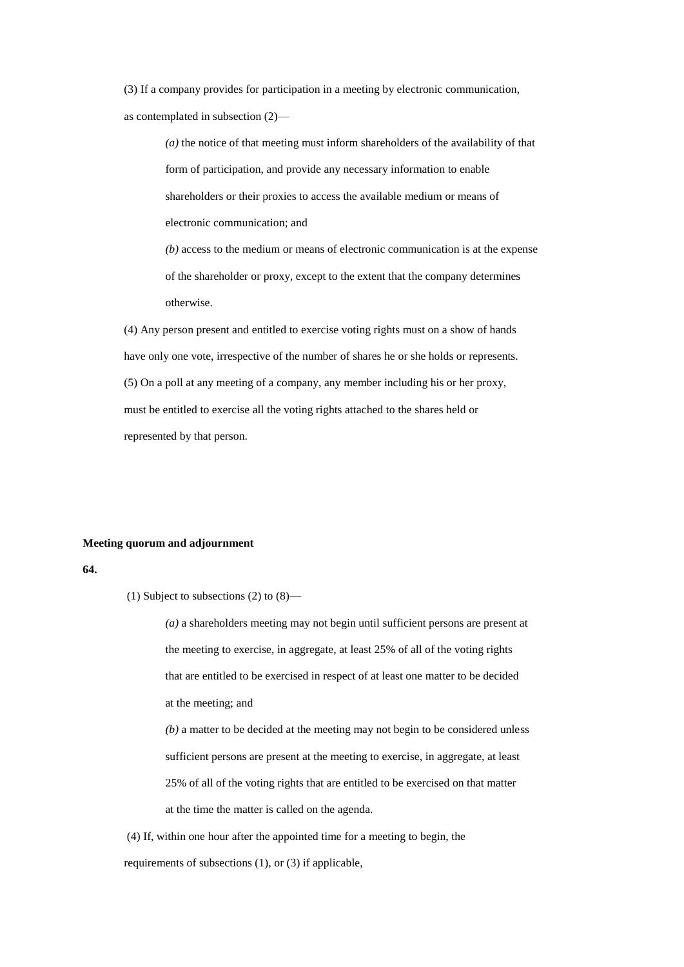(3) If a company provides for participation in a meeting by electronic communication, as contemplated in subsection (2)—

> *(a)* the notice of that meeting must inform shareholders of the availability of that form of participation, and provide any necessary information to enable shareholders or their proxies to access the available medium or means of electronic communication; and

> *(b)* access to the medium or means of electronic communication is at the expense of the shareholder or proxy, except to the extent that the company determines otherwise.

(4) Any person present and entitled to exercise voting rights must on a show of hands have only one vote, irrespective of the number of shares he or she holds or represents. (5) On a poll at any meeting of a company, any member including his or her proxy, must be entitled to exercise all the voting rights attached to the shares held or represented by that person.

#### **Meeting quorum and adjournment**

### **64.**

(1) Subject to subsections (2) to (8)—

*(a)* a shareholders meeting may not begin until sufficient persons are present at the meeting to exercise, in aggregate, at least 25% of all of the voting rights that are entitled to be exercised in respect of at least one matter to be decided at the meeting; and *(b)* a matter to be decided at the meeting may not begin to be considered unless sufficient persons are present at the meeting to exercise, in aggregate, at least 25% of all of the voting rights that are entitled to be exercised on that matter

at the time the matter is called on the agenda.

(4) If, within one hour after the appointed time for a meeting to begin, the requirements of subsections (1), or (3) if applicable,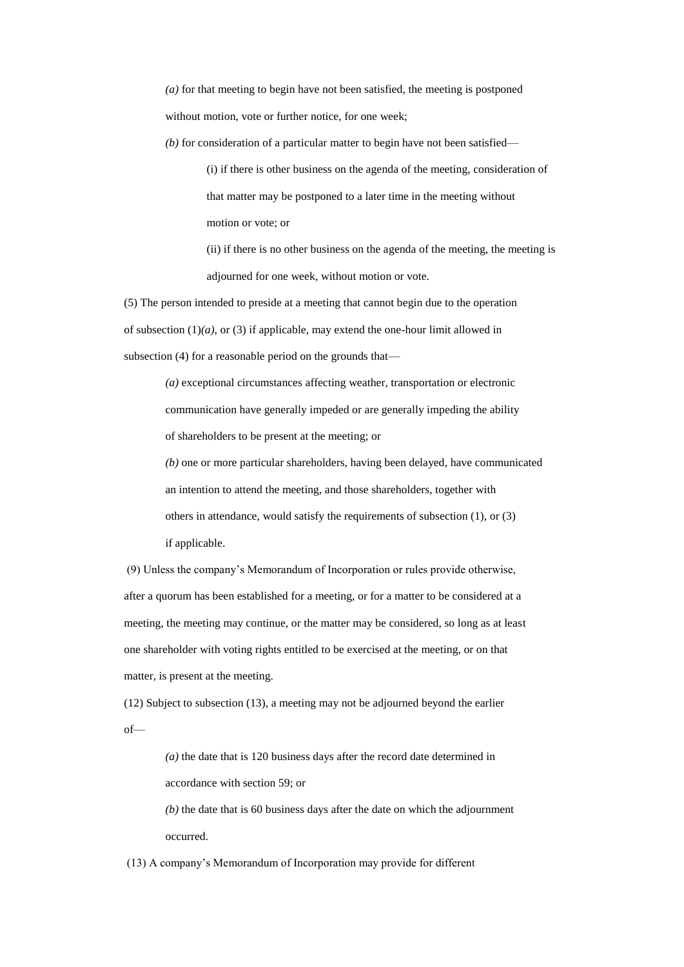*(a)* for that meeting to begin have not been satisfied, the meeting is postponed without motion, vote or further notice, for one week;

*(b)* for consideration of a particular matter to begin have not been satisfied—

(i) if there is other business on the agenda of the meeting, consideration of that matter may be postponed to a later time in the meeting without motion or vote; or

(ii) if there is no other business on the agenda of the meeting, the meeting is adjourned for one week, without motion or vote.

(5) The person intended to preside at a meeting that cannot begin due to the operation of subsection (1)*(a)*, or (3) if applicable, may extend the one-hour limit allowed in subsection (4) for a reasonable period on the grounds that—

> *(a)* exceptional circumstances affecting weather, transportation or electronic communication have generally impeded or are generally impeding the ability of shareholders to be present at the meeting; or

*(b)* one or more particular shareholders, having been delayed, have communicated an intention to attend the meeting, and those shareholders, together with others in attendance, would satisfy the requirements of subsection (1), or (3) if applicable.

(9) Unless the company's Memorandum of Incorporation or rules provide otherwise, after a quorum has been established for a meeting, or for a matter to be considered at a meeting, the meeting may continue, or the matter may be considered, so long as at least one shareholder with voting rights entitled to be exercised at the meeting, or on that matter, is present at the meeting.

(12) Subject to subsection (13), a meeting may not be adjourned beyond the earlier of—

> *(a)* the date that is 120 business days after the record date determined in accordance with section 59; or

*(b)* the date that is 60 business days after the date on which the adjournment occurred.

(13) A company's Memorandum of Incorporation may provide for different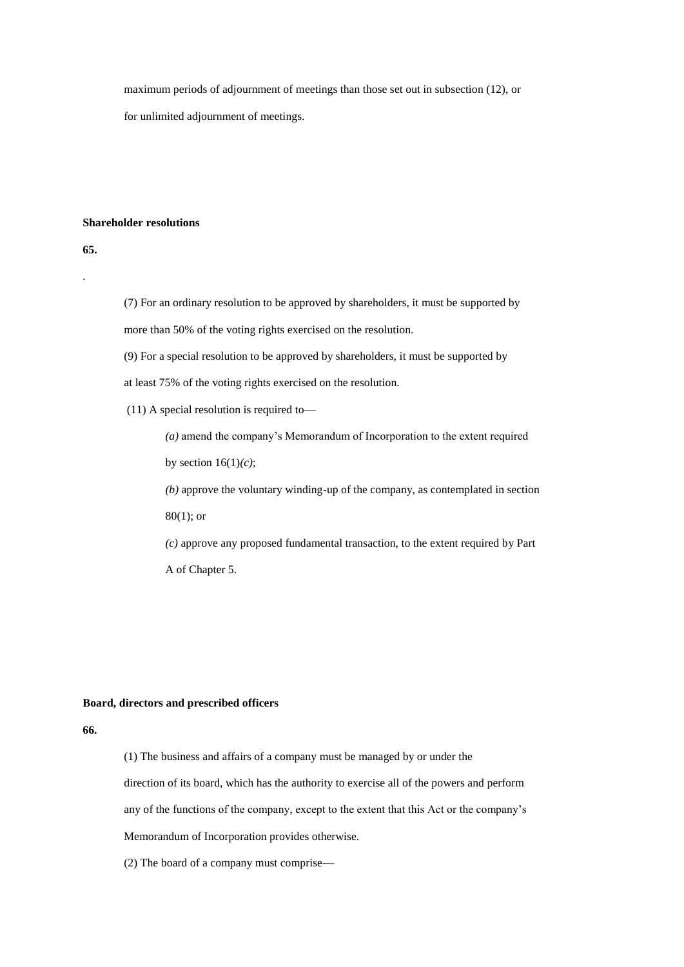maximum periods of adjournment of meetings than those set out in subsection (12), or for unlimited adjournment of meetings.

## **Shareholder resolutions**

**65.**

.

(7) For an ordinary resolution to be approved by shareholders, it must be supported by more than 50% of the voting rights exercised on the resolution.

(9) For a special resolution to be approved by shareholders, it must be supported by

at least 75% of the voting rights exercised on the resolution.

(11) A special resolution is required to—

*(a)* amend the company's Memorandum of Incorporation to the extent required

by section 16(1)*(c)*;

*(b)* approve the voluntary winding-up of the company, as contemplated in section 80(1); or

*(c)* approve any proposed fundamental transaction, to the extent required by Part A of Chapter 5.

## **Board, directors and prescribed officers**

**66.** 

(1) The business and affairs of a company must be managed by or under the direction of its board, which has the authority to exercise all of the powers and perform any of the functions of the company, except to the extent that this Act or the company's Memorandum of Incorporation provides otherwise.

(2) The board of a company must comprise—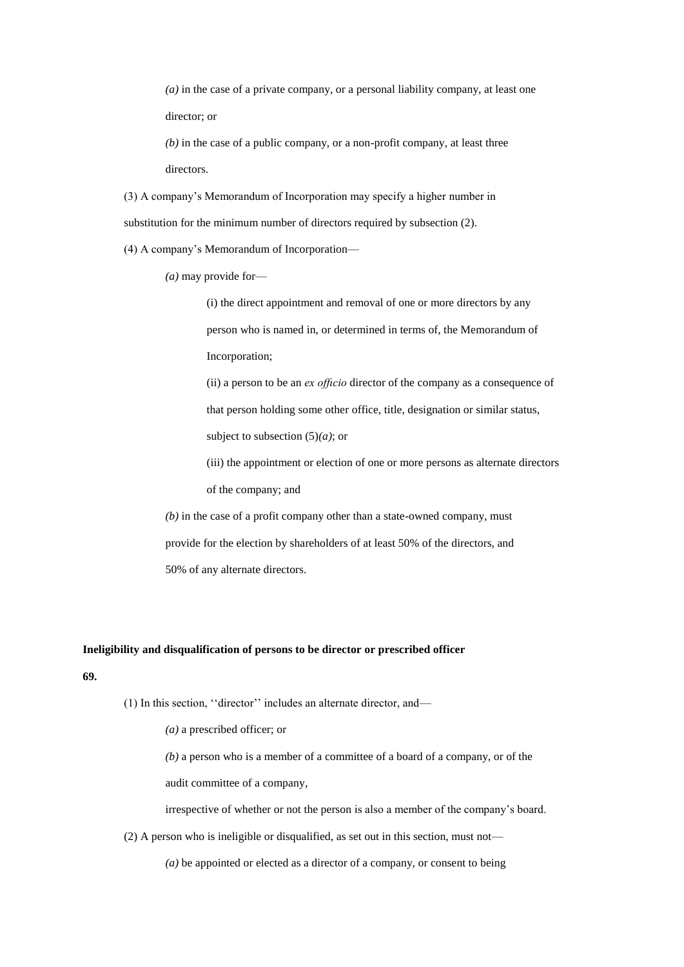*(a)* in the case of a private company, or a personal liability company, at least one director; or

*(b)* in the case of a public company, or a non-profit company, at least three directors.

(3) A company's Memorandum of Incorporation may specify a higher number in substitution for the minimum number of directors required by subsection (2).

(4) A company's Memorandum of Incorporation—

*(a)* may provide for—

(i) the direct appointment and removal of one or more directors by any person who is named in, or determined in terms of, the Memorandum of Incorporation;

(ii) a person to be an *ex offıcio* director of the company as a consequence of that person holding some other office, title, designation or similar status, subject to subsection (5)*(a)*; or

(iii) the appointment or election of one or more persons as alternate directors of the company; and

*(b)* in the case of a profit company other than a state-owned company, must provide for the election by shareholders of at least 50% of the directors, and 50% of any alternate directors.

### **Ineligibility and disqualification of persons to be director or prescribed officer**

## **69.**

(1) In this section, ''director'' includes an alternate director, and—

*(a)* a prescribed officer; or

*(b)* a person who is a member of a committee of a board of a company, or of the audit committee of a company,

irrespective of whether or not the person is also a member of the company's board.

(2) A person who is ineligible or disqualified, as set out in this section, must not—

*(a)* be appointed or elected as a director of a company, or consent to being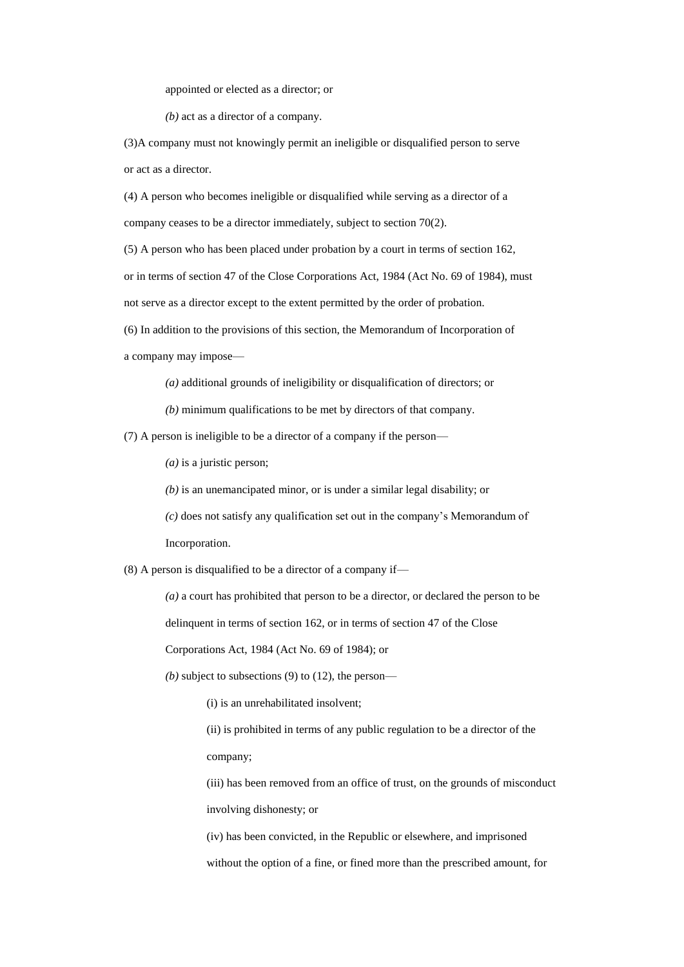appointed or elected as a director; or

*(b)* act as a director of a company.

(3)A company must not knowingly permit an ineligible or disqualified person to serve or act as a director.

(4) A person who becomes ineligible or disqualified while serving as a director of a company ceases to be a director immediately, subject to section 70(2).

(5) A person who has been placed under probation by a court in terms of section 162, or in terms of section 47 of the Close Corporations Act, 1984 (Act No. 69 of 1984), must not serve as a director except to the extent permitted by the order of probation.

(6) In addition to the provisions of this section, the Memorandum of Incorporation of a company may impose—

*(a)* additional grounds of ineligibility or disqualification of directors; or

*(b)* minimum qualifications to be met by directors of that company.

(7) A person is ineligible to be a director of a company if the person—

*(a)* is a juristic person;

*(b)* is an unemancipated minor, or is under a similar legal disability; or

*(c)* does not satisfy any qualification set out in the company's Memorandum of Incorporation.

(8) A person is disqualified to be a director of a company if—

*(a)* a court has prohibited that person to be a director, or declared the person to be

delinquent in terms of section 162, or in terms of section 47 of the Close

Corporations Act, 1984 (Act No. 69 of 1984); or

*(b)* subject to subsections (9) to (12), the person—

(i) is an unrehabilitated insolvent;

(ii) is prohibited in terms of any public regulation to be a director of the company;

(iii) has been removed from an office of trust, on the grounds of misconduct involving dishonesty; or

(iv) has been convicted, in the Republic or elsewhere, and imprisoned without the option of a fine, or fined more than the prescribed amount, for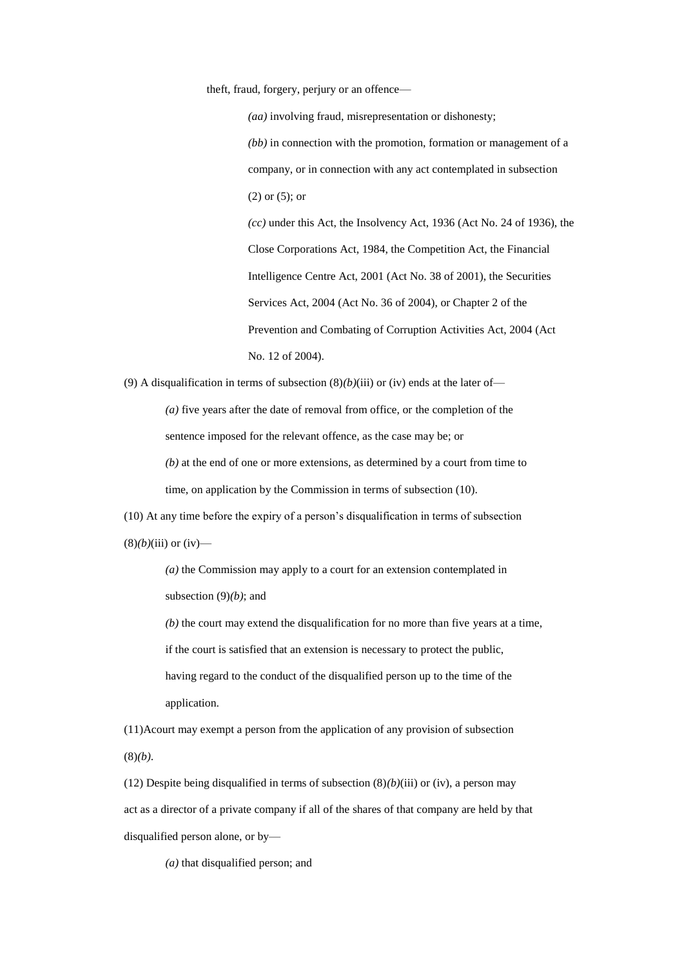theft, fraud, forgery, perjury or an offence—

*(aa)* involving fraud, misrepresentation or dishonesty; *(bb)* in connection with the promotion, formation or management of a company, or in connection with any act contemplated in subsection (2) or (5); or *(cc)* under this Act, the Insolvency Act, 1936 (Act No. 24 of 1936), the Close Corporations Act, 1984, the Competition Act, the Financial Intelligence Centre Act, 2001 (Act No. 38 of 2001), the Securities Services Act, 2004 (Act No. 36 of 2004), or Chapter 2 of the Prevention and Combating of Corruption Activities Act, 2004 (Act No. 12 of 2004).

(9) A disqualification in terms of subsection  $(8)(b)(iii)$  or (iv) ends at the later of—

*(a)* five years after the date of removal from office, or the completion of the sentence imposed for the relevant offence, as the case may be; or

*(b)* at the end of one or more extensions, as determined by a court from time to time, on application by the Commission in terms of subsection (10).

(10) At any time before the expiry of a person's disqualification in terms of subsection  $(8)(b)(iii)$  or (iv)—

> *(a)* the Commission may apply to a court for an extension contemplated in subsection (9)*(b)*; and

*(b)* the court may extend the disqualification for no more than five years at a time, if the court is satisfied that an extension is necessary to protect the public, having regard to the conduct of the disqualified person up to the time of the application.

(11)Acourt may exempt a person from the application of any provision of subsection (8)*(b)*.

(12) Despite being disqualified in terms of subsection (8)*(b)*(iii) or (iv), a person may act as a director of a private company if all of the shares of that company are held by that disqualified person alone, or by—

*(a)* that disqualified person; and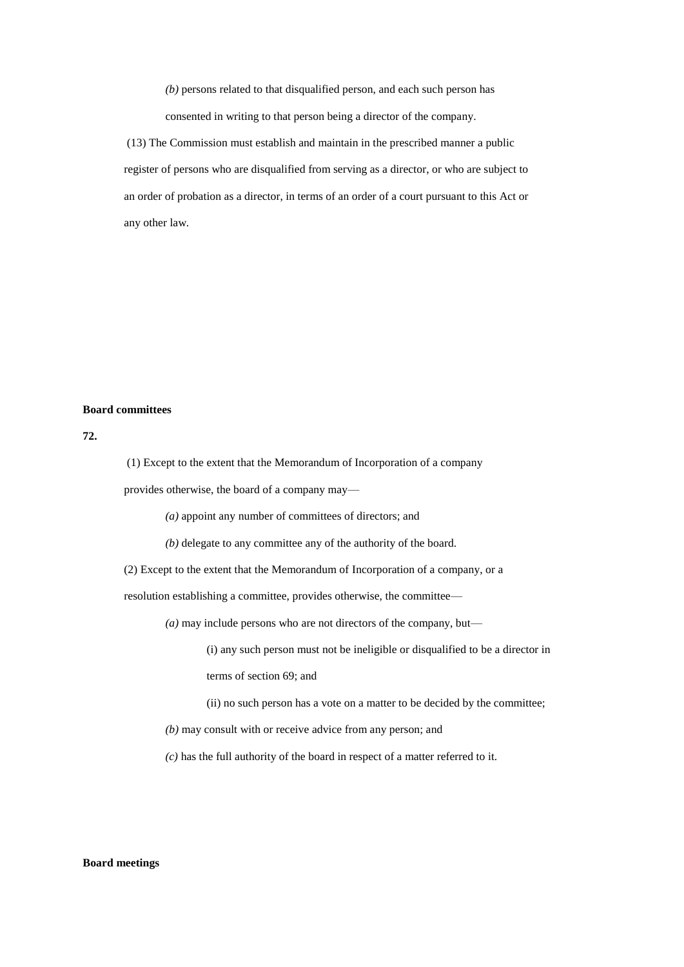*(b)* persons related to that disqualified person, and each such person has consented in writing to that person being a director of the company.

(13) The Commission must establish and maintain in the prescribed manner a public register of persons who are disqualified from serving as a director, or who are subject to an order of probation as a director, in terms of an order of a court pursuant to this Act or any other law.

### **Board committees**

**72.**

(1) Except to the extent that the Memorandum of Incorporation of a company

provides otherwise, the board of a company may—

*(a)* appoint any number of committees of directors; and

*(b)* delegate to any committee any of the authority of the board.

(2) Except to the extent that the Memorandum of Incorporation of a company, or a

resolution establishing a committee, provides otherwise, the committee—

*(a)* may include persons who are not directors of the company, but—

(i) any such person must not be ineligible or disqualified to be a director in terms of section 69; and

(ii) no such person has a vote on a matter to be decided by the committee;

*(b)* may consult with or receive advice from any person; and

*(c)* has the full authority of the board in respect of a matter referred to it.

### **Board meetings**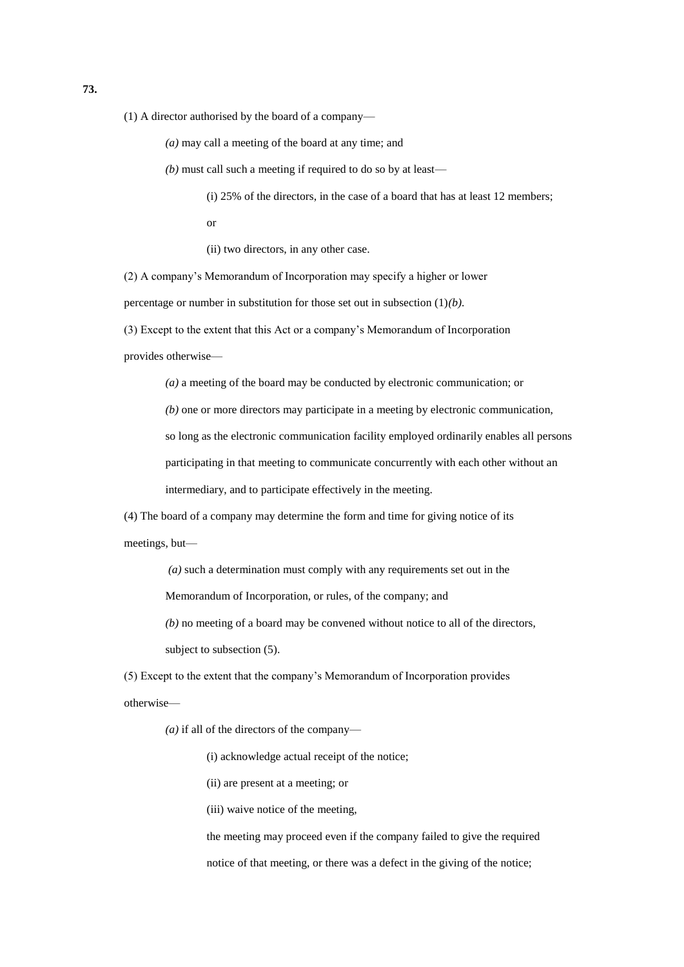(1) A director authorised by the board of a company—

*(a)* may call a meeting of the board at any time; and

*(b)* must call such a meeting if required to do so by at least—

(i) 25% of the directors, in the case of a board that has at least 12 members;

or

(ii) two directors, in any other case.

(2) A company's Memorandum of Incorporation may specify a higher or lower

percentage or number in substitution for those set out in subsection (1)*(b)*.

(3) Except to the extent that this Act or a company's Memorandum of Incorporation

provides otherwise—

*(a)* a meeting of the board may be conducted by electronic communication; or

*(b)* one or more directors may participate in a meeting by electronic communication,

so long as the electronic communication facility employed ordinarily enables all persons

participating in that meeting to communicate concurrently with each other without an

intermediary, and to participate effectively in the meeting.

(4) The board of a company may determine the form and time for giving notice of its

meetings, but—

*(a)* such a determination must comply with any requirements set out in the

Memorandum of Incorporation, or rules, of the company; and

*(b)* no meeting of a board may be convened without notice to all of the directors,

subject to subsection (5).

(5) Except to the extent that the company's Memorandum of Incorporation provides otherwise—

*(a)* if all of the directors of the company—

(i) acknowledge actual receipt of the notice;

(ii) are present at a meeting; or

(iii) waive notice of the meeting,

the meeting may proceed even if the company failed to give the required notice of that meeting, or there was a defect in the giving of the notice;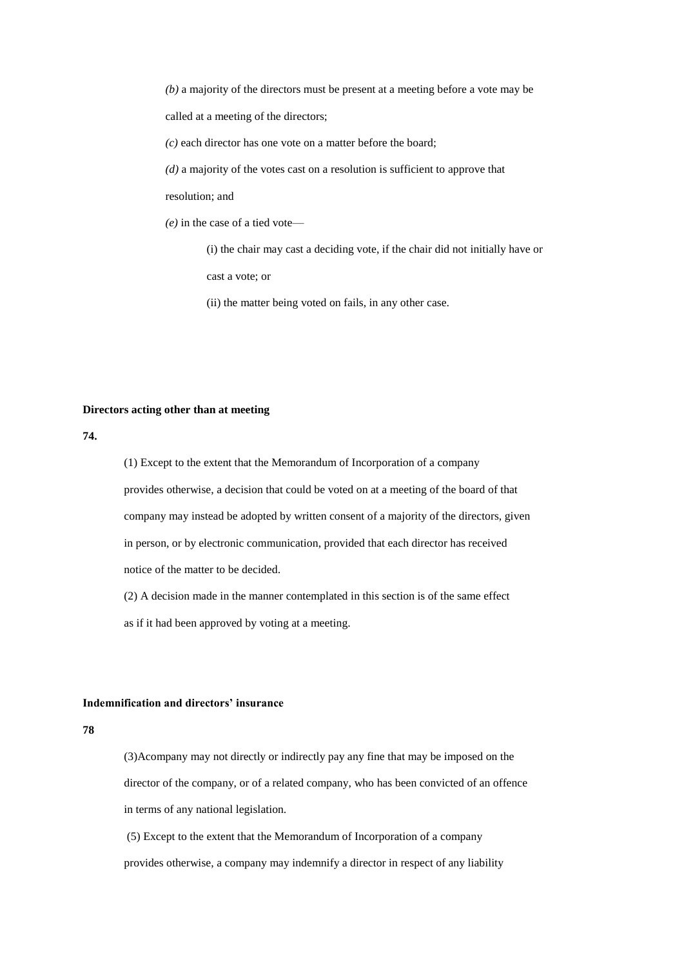*(b)* a majority of the directors must be present at a meeting before a vote may be called at a meeting of the directors;

*(c)* each director has one vote on a matter before the board;

*(d)* a majority of the votes cast on a resolution is sufficient to approve that

resolution; and

*(e)* in the case of a tied vote—

(i) the chair may cast a deciding vote, if the chair did not initially have or cast a vote; or

(ii) the matter being voted on fails, in any other case.

### **Directors acting other than at meeting**

**74.**

(1) Except to the extent that the Memorandum of Incorporation of a company provides otherwise, a decision that could be voted on at a meeting of the board of that company may instead be adopted by written consent of a majority of the directors, given in person, or by electronic communication, provided that each director has received notice of the matter to be decided.

(2) A decision made in the manner contemplated in this section is of the same effect as if it had been approved by voting at a meeting.

### **Indemnification and directors' insurance**

**78**

(3)Acompany may not directly or indirectly pay any fine that may be imposed on the director of the company, or of a related company, who has been convicted of an offence in terms of any national legislation.

(5) Except to the extent that the Memorandum of Incorporation of a company provides otherwise, a company may indemnify a director in respect of any liability